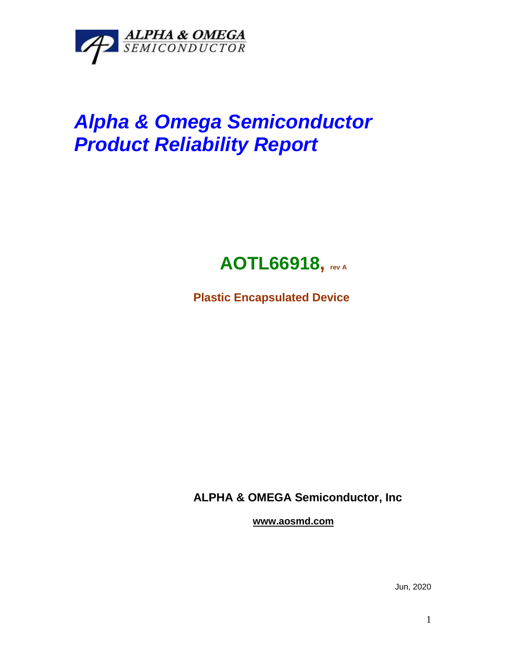

## *Alpha & Omega Semiconductor Product Reliability Report*



**Plastic Encapsulated Device**

**ALPHA & OMEGA Semiconductor, Inc**

**www.aosmd.com**

Jun, 2020